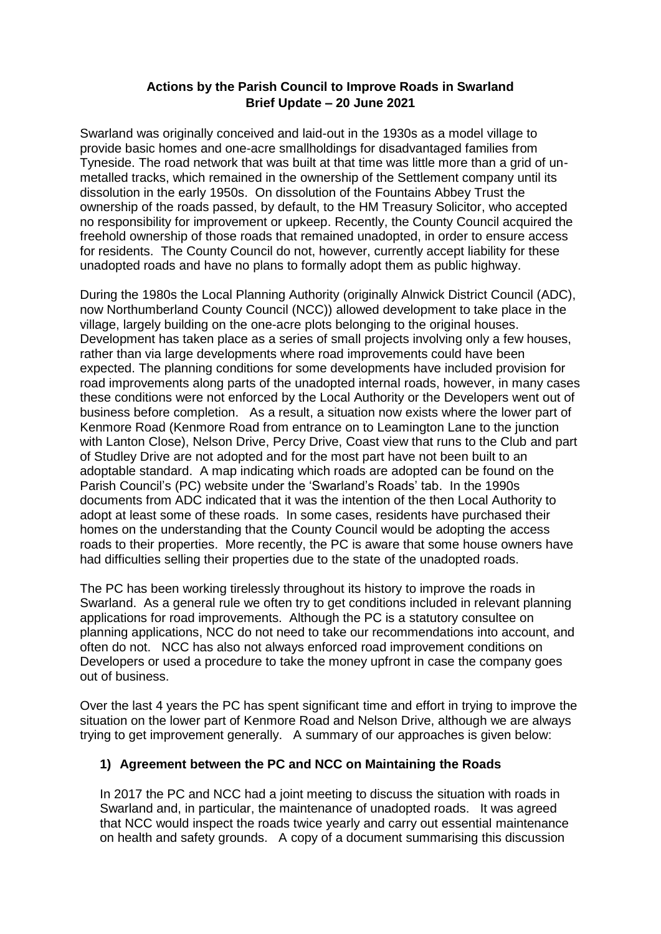#### **Actions by the Parish Council to Improve Roads in Swarland Brief Update – 20 June 2021**

Swarland was originally conceived and laid-out in the 1930s as a model village to provide basic homes and one-acre smallholdings for disadvantaged families from Tyneside. The road network that was built at that time was little more than a grid of unmetalled tracks, which remained in the ownership of the Settlement company until its dissolution in the early 1950s. On dissolution of the Fountains Abbey Trust the ownership of the roads passed, by default, to the HM Treasury Solicitor, who accepted no responsibility for improvement or upkeep. Recently, the County Council acquired the freehold ownership of those roads that remained unadopted, in order to ensure access for residents. The County Council do not, however, currently accept liability for these unadopted roads and have no plans to formally adopt them as public highway.

During the 1980s the Local Planning Authority (originally Alnwick District Council (ADC), now Northumberland County Council (NCC)) allowed development to take place in the village, largely building on the one-acre plots belonging to the original houses. Development has taken place as a series of small projects involving only a few houses, rather than via large developments where road improvements could have been expected. The planning conditions for some developments have included provision for road improvements along parts of the unadopted internal roads, however, in many cases these conditions were not enforced by the Local Authority or the Developers went out of business before completion. As a result, a situation now exists where the lower part of Kenmore Road (Kenmore Road from entrance on to Leamington Lane to the junction with Lanton Close), Nelson Drive, Percy Drive, Coast view that runs to the Club and part of Studley Drive are not adopted and for the most part have not been built to an adoptable standard. A map indicating which roads are adopted can be found on the Parish Council's (PC) website under the 'Swarland's Roads' tab. In the 1990s documents from ADC indicated that it was the intention of the then Local Authority to adopt at least some of these roads. In some cases, residents have purchased their homes on the understanding that the County Council would be adopting the access roads to their properties. More recently, the PC is aware that some house owners have had difficulties selling their properties due to the state of the unadopted roads.

The PC has been working tirelessly throughout its history to improve the roads in Swarland. As a general rule we often try to get conditions included in relevant planning applications for road improvements. Although the PC is a statutory consultee on planning applications, NCC do not need to take our recommendations into account, and often do not. NCC has also not always enforced road improvement conditions on Developers or used a procedure to take the money upfront in case the company goes out of business.

Over the last 4 years the PC has spent significant time and effort in trying to improve the situation on the lower part of Kenmore Road and Nelson Drive, although we are always trying to get improvement generally. A summary of our approaches is given below:

### **1) Agreement between the PC and NCC on Maintaining the Roads**

In 2017 the PC and NCC had a joint meeting to discuss the situation with roads in Swarland and, in particular, the maintenance of unadopted roads. It was agreed that NCC would inspect the roads twice yearly and carry out essential maintenance on health and safety grounds. A copy of a document summarising this discussion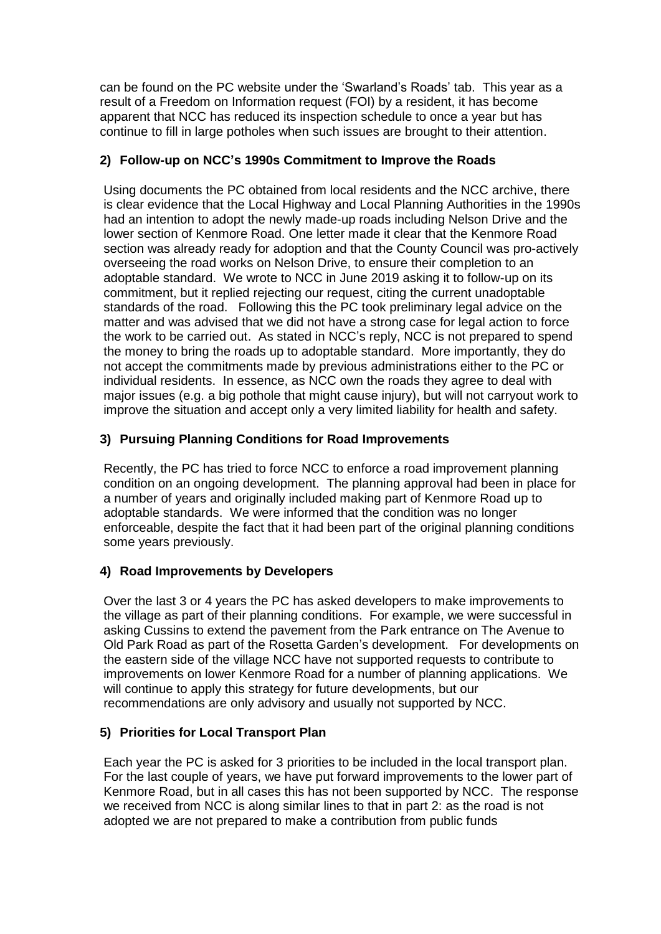can be found on the PC website under the 'Swarland's Roads' tab. This year as a result of a Freedom on Information request (FOI) by a resident, it has become apparent that NCC has reduced its inspection schedule to once a year but has continue to fill in large potholes when such issues are brought to their attention.

## **2) Follow-up on NCC's 1990s Commitment to Improve the Roads**

Using documents the PC obtained from local residents and the NCC archive, there is clear evidence that the Local Highway and Local Planning Authorities in the 1990s had an intention to adopt the newly made-up roads including Nelson Drive and the lower section of Kenmore Road. One letter made it clear that the Kenmore Road section was already ready for adoption and that the County Council was pro-actively overseeing the road works on Nelson Drive, to ensure their completion to an adoptable standard. We wrote to NCC in June 2019 asking it to follow-up on its commitment, but it replied rejecting our request, citing the current unadoptable standards of the road. Following this the PC took preliminary legal advice on the matter and was advised that we did not have a strong case for legal action to force the work to be carried out. As stated in NCC's reply, NCC is not prepared to spend the money to bring the roads up to adoptable standard. More importantly, they do not accept the commitments made by previous administrations either to the PC or individual residents. In essence, as NCC own the roads they agree to deal with major issues (e.g. a big pothole that might cause injury), but will not carryout work to improve the situation and accept only a very limited liability for health and safety.

## **3) Pursuing Planning Conditions for Road Improvements**

Recently, the PC has tried to force NCC to enforce a road improvement planning condition on an ongoing development. The planning approval had been in place for a number of years and originally included making part of Kenmore Road up to adoptable standards. We were informed that the condition was no longer enforceable, despite the fact that it had been part of the original planning conditions some years previously.

# **4) Road Improvements by Developers**

Over the last 3 or 4 years the PC has asked developers to make improvements to the village as part of their planning conditions. For example, we were successful in asking Cussins to extend the pavement from the Park entrance on The Avenue to Old Park Road as part of the Rosetta Garden's development. For developments on the eastern side of the village NCC have not supported requests to contribute to improvements on lower Kenmore Road for a number of planning applications. We will continue to apply this strategy for future developments, but our recommendations are only advisory and usually not supported by NCC.

### **5) Priorities for Local Transport Plan**

Each year the PC is asked for 3 priorities to be included in the local transport plan. For the last couple of years, we have put forward improvements to the lower part of Kenmore Road, but in all cases this has not been supported by NCC. The response we received from NCC is along similar lines to that in part 2: as the road is not adopted we are not prepared to make a contribution from public funds